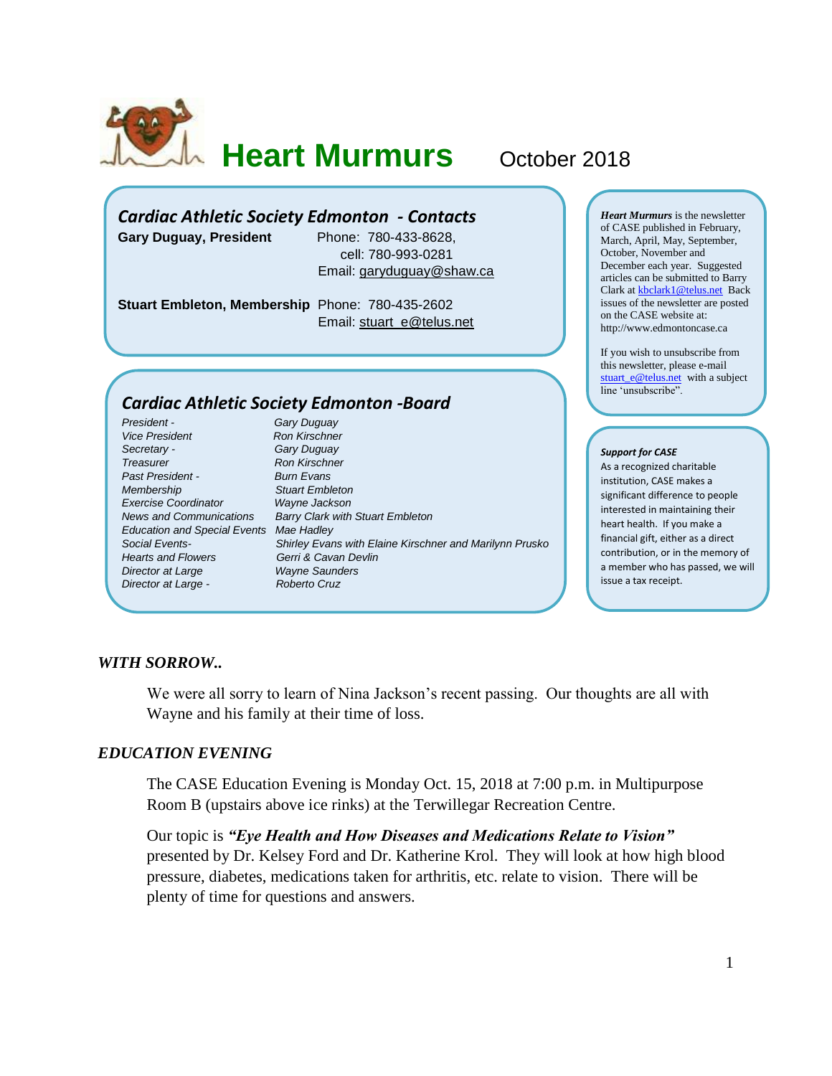

**Heart Murmurs** October 2018

# *Cardiac Athletic Society Edmonton - Contacts*

**Gary Duguay, President** Phone: 780-433-8628,

 cell: 780-993-0281 Email: [garyduguay@shaw.ca](mailto:garyduguay@shaw.ca)

**Stuart Embleton, Membership** Phone: 780-435-2602 Email: [stuart\\_e@telus.net](mailto:stuart_e@telus.net)

# *Cardiac Athletic Society Edmonton -Board*

*President - Gary Duguay* **Vice President Ron Kirschner** *Secretary - Gary Duguay* **Treasurer Ron Kirschner** *Past President - Burn Evans Membership Stuart Embleton Exercise Coordinator Education and Special Events Mae Hadley Hearts and Flowers Gerri & Cavan Devlin Director at Large Wayne Saunders Director at Large - Roberto Cruz*

*News and Communications Barry Clark with Stuart Embleton Social Events- Shirley Evans with Elaine Kirschner and Marilynn Prusko* *Heart Murmurs* is the newsletter of CASE published in February, March, April, May, September, October, November and December each year. Suggested articles can be submitted to Barry Clark a[t kbclark1@telus.net](mailto:kbclark1@telus.net) Back issues of the newsletter are posted on the CASE website at: [http://www.edmontoncase.ca](http://www.edmontoncase.ca/)

If you wish to unsubscribe from this newsletter, please e-mail [stuart\\_e@telus.net](mailto:stuart_e@telus.net) with a subject line 'unsubscribe".

#### *Support for CASE*

As a recognized charitable institution, CASE makes a significant difference to people interested in maintaining their heart health. If you make a financial gift, either as a direct contribution, or in the memory of a member who has passed, we will issue a tax receipt.

## *WITH SORROW..*

We were all sorry to learn of Nina Jackson's recent passing. Our thoughts are all with Wayne and his family at their time of loss.

### *EDUCATION EVENING*

The CASE Education Evening is Monday Oct. 15, 2018 at 7:00 p.m. in Multipurpose Room B (upstairs above ice rinks) at the Terwillegar Recreation Centre.

Our topic is *"Eye Health and How Diseases and Medications Relate to Vision"* presented by Dr. Kelsey Ford and Dr. Katherine Krol. They will look at how high blood pressure, diabetes, medications taken for arthritis, etc. relate to vision. There will be plenty of time for questions and answers.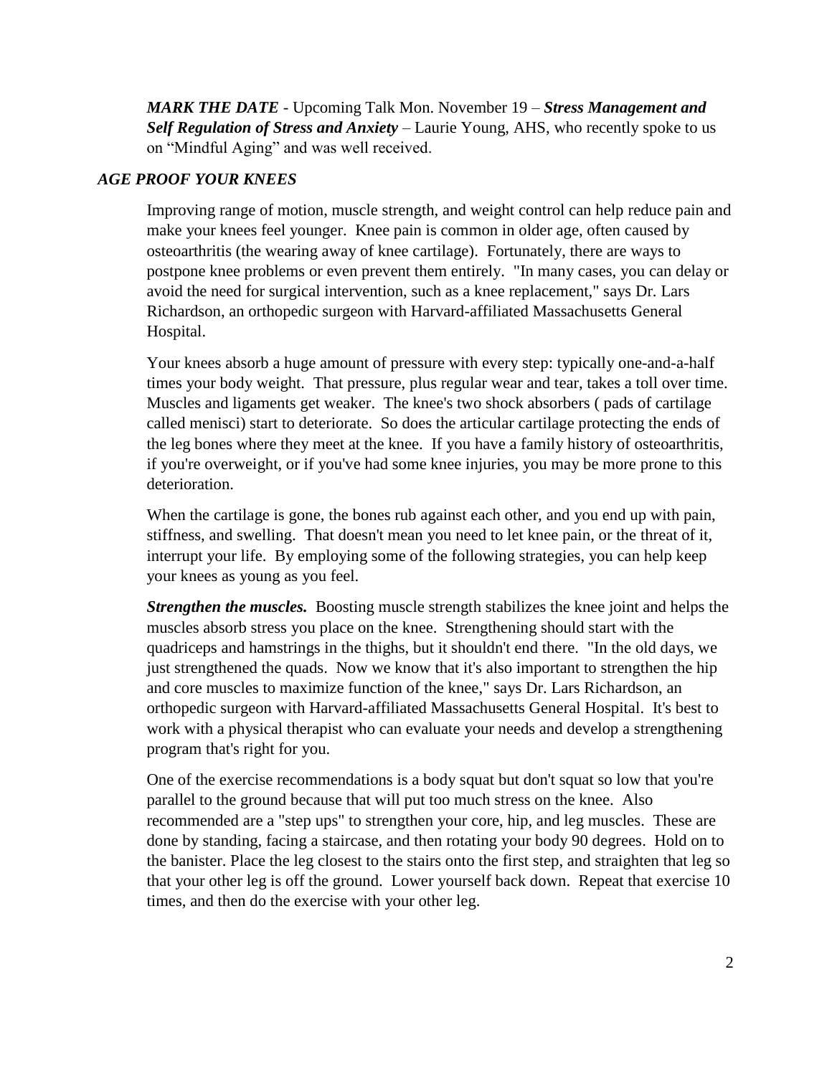*MARK THE DATE* - Upcoming Talk Mon. November 19 – *Stress Management and Self Regulation of Stress and Anxiety* – Laurie Young, AHS, who recently spoke to us on "Mindful Aging" and was well received.

## *AGE PROOF YOUR KNEES*

Improving range of motion, muscle strength, and weight control can help reduce pain and make your knees feel younger. Knee pain is common in older age, often caused by osteoarthritis (the wearing away of knee cartilage). Fortunately, there are ways to postpone knee problems or even prevent them entirely. "In many cases, you can delay or avoid the need for surgical intervention, such as a knee replacement," says Dr. Lars Richardson, an orthopedic surgeon with Harvard-affiliated Massachusetts General Hospital.

Your knees absorb a huge amount of pressure with every step: typically one-and-a-half times your body weight. That pressure, plus regular wear and tear, takes a toll over time. Muscles and ligaments get weaker. The knee's two shock absorbers ( pads of cartilage called menisci) start to deteriorate. So does the articular cartilage protecting the ends of the leg bones where they meet at the knee. If you have a family history of osteoarthritis, if you're overweight, or if you've had some knee injuries, you may be more prone to this deterioration.

When the cartilage is gone, the bones rub against each other, and you end up with pain, stiffness, and swelling. That doesn't mean you need to let knee pain, or the threat of it, interrupt your life. By employing some of the following strategies, you can help keep your knees as young as you feel.

*Strengthen the muscles.* Boosting muscle strength stabilizes the knee joint and helps the muscles absorb stress you place on the knee. Strengthening should start with the quadriceps and hamstrings in the thighs, but it shouldn't end there. "In the old days, we just strengthened the quads. Now we know that it's also important to strengthen the hip and core muscles to maximize function of the knee," says Dr. Lars Richardson, an orthopedic surgeon with Harvard-affiliated Massachusetts General Hospital. It's best to work with a physical therapist who can evaluate your needs and develop a strengthening program that's right for you.

One of the exercise recommendations is a body squat but don't squat so low that you're parallel to the ground because that will put too much stress on the knee. Also recommended are a "step ups" to strengthen your core, hip, and leg muscles. These are done by standing, facing a staircase, and then rotating your body 90 degrees. Hold on to the banister. Place the leg closest to the stairs onto the first step, and straighten that leg so that your other leg is off the ground. Lower yourself back down. Repeat that exercise 10 times, and then do the exercise with your other leg.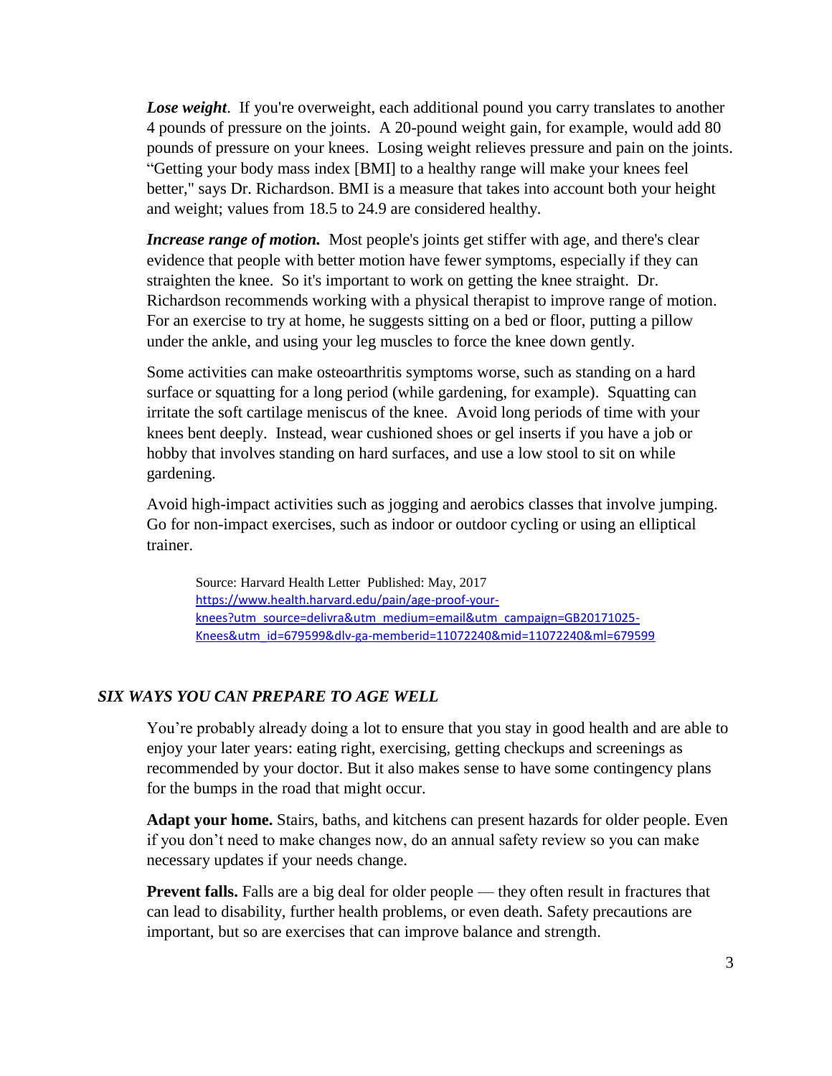**Lose weight**. If you're overweight, each additional pound you carry translates to another 4 pounds of pressure on the joints. A 20-pound weight gain, for example, would add 80 pounds of pressure on your knees. Losing weight relieves pressure and pain on the joints. "Getting your body mass index [BMI] to a healthy range will make your knees feel better," says Dr. Richardson. BMI is a measure that takes into account both your height and weight; values from 18.5 to 24.9 are considered healthy.

*Increase range of motion.* Most people's joints get stiffer with age, and there's clear evidence that people with better motion have fewer symptoms, especially if they can straighten the knee. So it's important to work on getting the knee straight. Dr. Richardson recommends working with a physical therapist to improve range of motion. For an exercise to try at home, he suggests sitting on a bed or floor, putting a pillow under the ankle, and using your leg muscles to force the knee down gently.

Some activities can make osteoarthritis symptoms worse, such as standing on a hard surface or squatting for a long period (while gardening, for example). Squatting can irritate the soft cartilage meniscus of the knee. Avoid long periods of time with your knees bent deeply. Instead, wear cushioned shoes or gel inserts if you have a job or hobby that involves standing on hard surfaces, and use a low stool to sit on while gardening.

Avoid high-impact activities such as jogging and aerobics classes that involve jumping. Go for non-impact exercises, such as indoor or outdoor cycling or using an elliptical trainer.

Source: [Harvard Health Letter](https://www.health.harvard.edu/newsletters/harvard_health_letter/2017/may) Published: May, 2017 [https://www.health.harvard.edu/pain/age-proof-your](https://www.health.harvard.edu/pain/age-proof-your-knees?utm_source=delivra&utm_medium=email&utm_campaign=GB20171025-Knees&utm_id=679599&dlv-ga-memberid=11072240&mid=11072240&ml=679599)[knees?utm\\_source=delivra&utm\\_medium=email&utm\\_campaign=GB20171025-](https://www.health.harvard.edu/pain/age-proof-your-knees?utm_source=delivra&utm_medium=email&utm_campaign=GB20171025-Knees&utm_id=679599&dlv-ga-memberid=11072240&mid=11072240&ml=679599) [Knees&utm\\_id=679599&dlv-ga-memberid=11072240&mid=11072240&ml=679599](https://www.health.harvard.edu/pain/age-proof-your-knees?utm_source=delivra&utm_medium=email&utm_campaign=GB20171025-Knees&utm_id=679599&dlv-ga-memberid=11072240&mid=11072240&ml=679599)

## *SIX WAYS YOU CAN PREPARE TO AGE WELL*

You're probably already doing a lot to ensure that you stay in good health and are able to enjoy your later years: eating right, exercising, getting checkups and screenings as recommended by your doctor. But it also makes sense to have some contingency plans for the bumps in the road that might occur.

**Adapt your home.** Stairs, baths, and kitchens can present hazards for older people. Even if you don't need to make changes now, do an annual safety review so you can make necessary updates if your needs change.

**Prevent falls.** Falls are a big deal for older people — they often result in fractures that can lead to disability, further health problems, or even death. Safety precautions are important, but so are exercises that can improve balance and strength.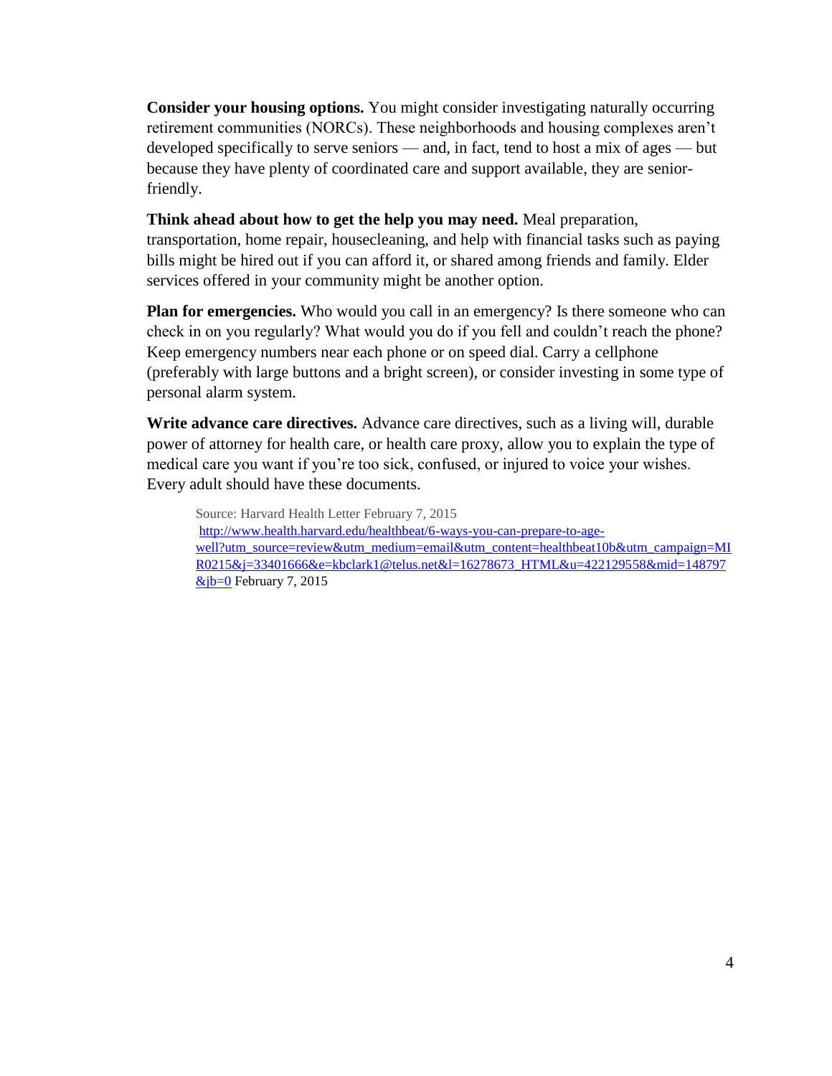**Consider your housing options.** You might consider investigating naturally occurring retirement communities (NORCs). These neighborhoods and housing complexes aren't developed specifically to serve seniors — and, in fact, tend to host a mix of ages — but because they have plenty of coordinated care and support available, they are seniorfriendly.

## **Think ahead about how to get the help you may need.** Meal preparation,

transportation, home repair, housecleaning, and help with financial tasks such as paying bills might be hired out if you can afford it, or shared among friends and family. Elder services offered in your community might be another option.

**Plan for emergencies.** Who would you call in an emergency? Is there someone who can check in on you regularly? What would you do if you fell and couldn't reach the phone? Keep emergency numbers near each phone or on speed dial. Carry a cellphone (preferably with large buttons and a bright screen), or consider investing in some type of personal alarm system.

**Write advance care directives.** Advance care directives, such as a living will, durable power of attorney for health care, or health care proxy, allow you to explain the type of medical care you want if you're too sick, confused, or injured to voice your wishes. Every adult should have these documents.

Source: Harvard Health Letter February 7, 2015 [http://www.health.harvard.edu/healthbeat/6-ways-you-can-prepare-to-age](http://www.health.harvard.edu/healthbeat/6-ways-you-can-prepare-to-age-well?utm_source=review&utm_medium=email&utm_content=healthbeat10b&utm_campaign=MIR0215&j=33401666&e=kbclark1@telus.net&l=16278673_HTML&u=422129558&mid=148797&jb=0)[well?utm\\_source=review&utm\\_medium=email&utm\\_content=healthbeat10b&utm\\_campaign=MI](http://www.health.harvard.edu/healthbeat/6-ways-you-can-prepare-to-age-well?utm_source=review&utm_medium=email&utm_content=healthbeat10b&utm_campaign=MIR0215&j=33401666&e=kbclark1@telus.net&l=16278673_HTML&u=422129558&mid=148797&jb=0) [R0215&j=33401666&e=kbclark1@telus.net&l=16278673\\_HTML&u=422129558&mid=148797](http://www.health.harvard.edu/healthbeat/6-ways-you-can-prepare-to-age-well?utm_source=review&utm_medium=email&utm_content=healthbeat10b&utm_campaign=MIR0215&j=33401666&e=kbclark1@telus.net&l=16278673_HTML&u=422129558&mid=148797&jb=0)  $&$ jb=0 February 7, 2015